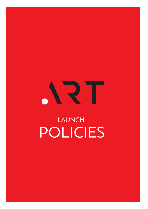

# LAUNCH POLICIES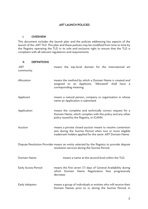#### .ART LAUNCH POLICIES

#### I. OVERVIEW

This document includes the launch plan and the policies addressing key aspects of the launch of the .ART TLD. This plan and these policies may be modified from time to time by the Registry operating the TLD in its sole and exclusive right to ensure that the TLD is compliant with all relevant regulations and requirements.

#### II. DEFINITIONS

| .ART<br>community.  | means the top-level domain for the international art                                                                                                                               |
|---------------------|------------------------------------------------------------------------------------------------------------------------------------------------------------------------------------|
| Allocation          | means the method by which a Domain Name is created and<br>assigned to an Applicant, "Allocated" shall have a<br>corresponding meaning.                                             |
| Applicant           | means a natural person, company or organization in whose<br>name an Application is submitted.                                                                                      |
| Application         | means the complete and technically correct request for a<br>Domain Name, which complies with this policy and any other<br>policy issued by the Registry, or ICANN.                 |
| Auction             | means a private closed auction meant to resolve contention<br>sets during the Sunrise Period when two or more eligible<br>trademark holders applied for the same .ART Domain Name. |
|                     | Dispute Resolution Provider means an entity selected by the Registry to provide dispute<br>resolution services during the Sunrise Period.                                          |
| Domain Name         | means a name at the second level within the TLD.                                                                                                                                   |
| Early Access Period | means the first seven (7) days of General Availability during<br>which Domain Name Registration fees progressively<br>decrease.                                                    |
| Early Adopters      | means a group of individuals or entities who will receive their<br>Domain Names prior to or during the Sunrise Period, in                                                          |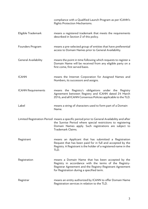|                             | compliance with a Qualified Launch Program as per ICANN's<br>Rights Protection Mechanisms.                                                                                                                                                |
|-----------------------------|-------------------------------------------------------------------------------------------------------------------------------------------------------------------------------------------------------------------------------------------|
| Eligible Trademark          | means a registered trademark that meets the requirements<br>described in Section 2 of this policy.                                                                                                                                        |
| Founders Program            | means a pre-selected group of entities that have preferential<br>access to Domain Names prior to General Availability.                                                                                                                    |
| <b>General Availability</b> | means the point in time following which requests to register a<br>Domain Name will be received from any eligible party on a<br>first come, first served basis.                                                                            |
| <b>ICANN</b>                | means the Internet Corporation for Assigned Names and<br>Numbers, its successors and assigns.                                                                                                                                             |
| <b>ICANN Requirements</b>   | means the Registry's obligations under the<br>Registry<br>Agreement between Registry and ICANN dated 24 March<br>2016, and all ICANN Consensus Policies applicable to the TLD.                                                            |
| Label                       | means a string of characters used to form part of a Domain<br>Name.                                                                                                                                                                       |
|                             | Limited Registration Period means a specific period prior to General Availability and after<br>the Sunrise Period where special restrictions to registering<br>Domain Names apply. Such registrations are subject to<br>Trademark Claims. |
| Registrant                  | means an Applicant that has submitted a Registration<br>Request that has been paid for in full and accepted by the<br>Registry. A Registrant is the holder of a registered name in the<br>TLD.                                            |
| Registration                | means a Domain Name that has been accepted by the<br>Registry in accordance with the terms of the Registry-<br>Registrar Agreement and the Registry-Registrant Agreement<br>for Registration during a specified term.                     |
| Registrar                   | means an entity authorized by ICANN to offer Domain Name<br>Registration services in relation to the TLD.                                                                                                                                 |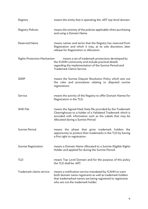| Registry                           | means the entity that is operating the .ART top-level domain.                                                                                                                                                             |
|------------------------------------|---------------------------------------------------------------------------------------------------------------------------------------------------------------------------------------------------------------------------|
| <b>Registry Policies</b>           | means the entirety of the policies applicable when purchasing<br>and using a Domain Name.                                                                                                                                 |
| <b>Reserved Name</b>               | means names and terms that the Registry has reserved from<br>Registration and which it may, at its sole discretion, later<br>release for Registration or Allocation.                                                      |
| <b>Rights Protection Mechanism</b> | means a set of trademark protections developed by<br>the ICANN community and include practical details<br>regarding the implementation of the Sunrise Period and<br>Trademark Claims Service.                             |
| <b>SDRP</b>                        | means the Sunrise Dispute Resolution Policy which sets out<br>the rules and procedures relating to disputed sunrise<br>registrations                                                                                      |
| Service                            | means the activity of the Registry to offer Domain Names for<br>Registration in the TLD.                                                                                                                                  |
| <b>SMD File</b>                    | means the Signed Mark Data file provided by the Trademark<br>Clearinghouse to a holder of a Validated Trademark which is<br>encoded with information such as the Labels that may be<br>Allocated during a Sunrise Period. |
| Sunrise Period                     | means the phase that gives trademark holders the<br>opportunity to protect their trademarks in the TLD by having<br>a first right to registration.                                                                        |
| <b>Sunrise Registration</b>        | means a Domain Name Allocated to a Sunrise-Eligible Rights<br>Holder and applied for during the Sunrise Period.                                                                                                           |
| <b>TLD</b>                         | means Top Level Domain and for the purpose of this policy<br>the TLD shall be .ART.                                                                                                                                       |
| Trademark claims service           | means a notification service mandated by ICANN to warn<br>both domain name registrants as well as trademark holders<br>that trademarked names are being registered to registrants<br>who are not the trademark holder.    |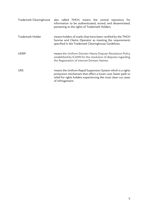| Trademark Clearinghouse | also called TMCH, means the central repository for<br>information to be authenticated, stored, and disseminated,<br>pertaining to the rights of Trademark Holders.                                                  |
|-------------------------|---------------------------------------------------------------------------------------------------------------------------------------------------------------------------------------------------------------------|
| Trademark Holder        | means holders of marks that have been verified by the TMCH<br>Sunrise and Claims Operator as meeting the requirements<br>specified in the Trademark Clearinghouse Guidelines.                                       |
| <b>UDRP</b>             | means the Uniform Domain-Name Dispute-Resolution Policy<br>established by ICANN for the resolution of disputes regarding<br>the Registration of internet Domain Names.                                              |
| <b>URS</b>              | means the Uniform Rapid Suspension System which is a rights<br>protection mechanism that offers a lower-cost, faster path to<br>relief for rights holders experiencing the most clear-cut cases<br>of infringement. |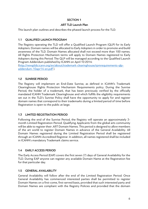#### SECTION 1

#### .ART TLD Launch Plan

This launch plan outlines and describes the phased launch process for the TLD.

# 1.1 QUALIFIED LAUNCH PROGRAM

The Registry operating the TLD will offer a Qualified Launch Program (QLP) for its Early Adopters. Domain names will be allocated to Early Adopters in order to promote and build awareness of the TLD. Domain Names allocated shall not exceed more than 100 names. All Rights Protection Mechanism terms will apply to Domain Names registered to Early Adopters during this Period. The QLP will be managed according to the Qualified Launch Program Addendum published by ICANN on April 10 2014:

(http://newgtlds.icann.org/en/about/trademark-clearinghouse/rpmrequirements-qlpaddendum-10apr14-en.pdf ).

# 1.2 SUNRISE PERIOD

The Registry will implement an End-Date Sunrise, as defined in ICANN's Trademark Clearinghouse Rights Protection Mechanism Requirements policy. During the Sunrise Period, the holder of a trademark, that has been previously verified by the officially mandated ICANN Trademark Clearinghouse and which fulfills the eligibility requirements set out in the TLD's Sunrise Policy shall have the opportunity to apply for and register domain names that correspond to their trademarks during a limited period of time before Registration is open to the public at large.

# 1.3 LIMITED REGISTRATION PERIOD

Following the end of the Sunrise Period, the Registry will operate an approximately 3 month Limited Registration Period. Qualifying Applicants from the global arts community will be able to register their .ART Domain Names. This period is designed to allow members of the art world to register Domain Names in advance of the General Availability. All Domain Names registered during the Limited Registration Period shall be registered through an ICANN-Accredited Registrar. In addition, all names registered shall be included in ICANN's mandatory Trademark claims service.

# 1.4 EARLY ACCESS PERIOD

The Early Access Period (EAP) covers the first seven (7) days of General Availability for the TLD. During EAP anyone can register any available Domain Name at the Registration fee for that particular day.

# 1.5 GENERAL AVAILABILITY

General Availability will follow after the end of the Limited Registration Period. Once General Availability has commenced interested parties shall be permitted to register Domain Names on a first-come, first-served basis, provided that such interested party and Domain Names are compliant with the Registry Policies and provided that the domain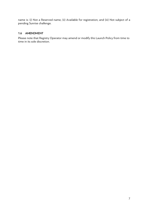name is: (i) Not a Reserved name; (ii) Available for registration; and (iii) Not subject of a pending Sunrise challenge.

#### 1.6 AMENDMENT

Please note that Registry Operator may amend or modify this Launch Policy from time to time in its sole discretion.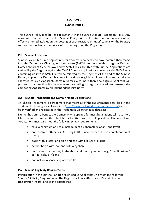#### SECTION 2

#### Sunrise Period

This Sunrise Policy is to be read together with the Sunrise Dispute Resolution Policy. Any revisions or modifications to this Sunrise Policy prior to the start date of Sunrise shall be effective immediately upon the posting of such revisions or modifications on the Registry website and such amendments shall be binding upon the Registrant.

#### 2.1 Sunrise Overview

Sunrise is a limited-time opportunity for trademark holders who have entered their marks into the Trademark Clearinghouse database (TMCH) and who wish to register Domain Names ahead of General Availability. SMD Files submitted with Sunrise Applications are verified by the Registry against the TMCH. Sunrise Applications missing a valid SMD File or containing an invalid SMD File will be rejected by the Registry. At the end of the Sunrise Period, applied for Domain Names with a single eligible applicant will automatically be allocated to such Applicant. Domain Names with more than one eligible Applicant will proceed to an auction (to be conducted according to registry procedure) between the competing Applicants by an independent third party.

#### 2.2 Eligible Trademarks and Domain Name Applications

An Eligible Trademark is a trademark that meets all of the requirements described in the Trademark Clearinghouse Guidelines (http://www.trademark-clearinghouse.com/) and has been verified and registered in the Trademark Clearinghouse database.

During the Sunrise Period, the Domain Name applied for must be an identical match to a label contained within the SMD file submitted with the Application. Domain Name Applications must also meet the following syntax requirements:

- have a minimum of 1 to a maximum of 63 characters (at any one level);
- only contain letters (a-z, A-Z), digits (0-9) and hyphens (-) or a combination of these;
- begin with a letter or a digit and end with a letter or a digit;
- neither begin with, nor end with a hyphen  $(-)$ ;
- not contain hyphens (-) in the third and fourth positions (e.g., "bq--1k2n4h4b" or "xn--ndk061n); and
- not include a space (e.g. www.ab tld).

#### 2.3 Sunrise Eligibility Requirements

Participation in the Sunrise Period is restricted to Applicants who meet the following Sunrise Eligibility Requirements. The Registry will only effectuate a Domain Name Registration insofar and to the extent that: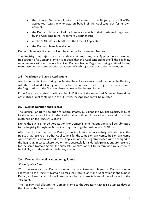- the Domain Name Application is submitted to the Registry by an ICANNaccredited Registrar who acts on behalf of the Applicant, but for its own account;
- the Domain Name applied for is an exact match to their trademark registered by the Applicant in the Trademark Clearinghouse;
- a valid SMD File is submitted at the time of Application;
- the Domain Name is available.

Domain Name Applications will not be accepted for Reserved Names.

The Registry may reject, revoke or delete at any time, any Application or resulting Registration of a Domain Name if it appears that the Applicant did not fulfill the eligibility requirements without the Applicant or Domain Name Registrant being entitled to any reimbursement or compensation as a result of such rejection, revocation or deletion.

#### 2.4 Validation of Sunrise Applications

Applications submitted during the Sunrise Period are subject to validation by the Registry with the Trademark Clearinghouse, which is a prerequisite for the Registry to proceed with the Registration of the Domain Name requested in the Application.

If the Registry is unable to validate the SMD file or if the requested Domain Name does not match a label contained in the SMD file, the Application will be rejected.

#### 2.5 Sunrise Duration and Process

The Sunrise Period will be open for approximately 60 calendar days. The Registry may, at its discretion extend the Sunrise Period at any time. Notice of any extension will be published on the Registry Website.

During the Sunrise Period, Applications for Domain Name Registrations shall be submitted to the Registry through an Accredited Registrar together with a valid SMD file.

After the close of the Sunrise Period, if an Application is successfully validated and the Registry has received no other Applications for the same Domain Name, the Domain Name will be automatically allocated to the Applicant and the Registration fee will be charged to the Registrar. In cases where two or more successfully validated Applications are received for the same Domain Name, the successful Application will be determined by Auction to be held by an independent third-party auction.

#### 2.6 Domain Name Allocation during Sunrise

#### Single Applications

With the exception of Domain Names that are Reserved Names or Domain Names allocated to the Registry, Domain Names that receive only one Application in the Sunrise Period, and are successfully validated according to these Policies will be allocated to the Applicant.

The Registry shall allocate the Domain Name to the Applicant within 14 business days of the close of the Sunrise Period.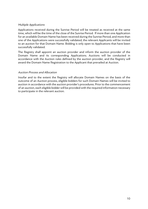#### Multiple Applications

Applications received during the Sunrise Period will be treated as received at the same time, which will be the time of the close of the Sunrise Period. If more than one Application for an available Domain Name has been received during the Sunrise Period, and more than one of the Applications were successfully validated, the relevant Applicants will be invited to an auction for that Domain Name. Bidding is only open to Applications that have been successfully validated.

The Registry shall appoint an auction provider and inform the auction provider of the Domain Name and its corresponding Applications. Auctions will be conducted in accordance with the Auction rules defined by the auction provider, and the Registry will award the Domain Name Registration to the Applicant that prevailed at Auction.

#### Auction Process and Allocation

Insofar and to the extent the Registry will allocate Domain Names on the basis of the outcome of an Auction process, eligible bidders for such Domain Names will be invited to auction in accordance with the auction provider's procedures. Prior to the commencement of an auction, each eligible bidder will be provided with the required information necessary to participate in the relevant auction.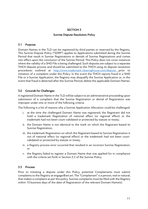# SECTION 3

#### Sunrise Dispute Resolution Policy

#### 3.1 Purpose

Domain Names in the TLD can be registered by third parties or reserved by the Registry. This Sunrise Dispute Policy ("SDRP") applies to Applications submitted during the Sunrise Period that result in Sunrise Registrations or denials of Sunrise Registrations and comes into effect upon the conclusion of the Sunrise Period. This Policy does not cover instances where the validity of a SMD File is being challenged. Such disputes are subject to a separate TMCH dispute process and should be submitted to the TMCH using its dispute resolution procedures outlined at http://www.trademark-clearinghouse.com/dispute prior to initiation of a complaint under this Policy. In the event the TMCH reports fraud in a SMD File or a Sunrise Application, the Registry may disqualify the Sunrise Application or, in the event that fraud is detected after the Sunrise Period, delete the applicable Domain Names.

#### 3.2 Grounds for Challenges

A registered Domain Name in the TLD will be subject to an administrative proceeding upon submission of a complaint that the Sunrise Registration or denial of Registration was improper under one or more of the following criteria.

The following is a list of reasons why a Sunrise Application Allocation could be challenged:

- i. at the time the challenged Domain Name was registered, the Registrant did not hold a trademark Registration of national effect (or regional effect) or the trademark had not been court-validated or protected by statute or treaty;
- ii. the Domain Name is not identical to the mark on which the Registrant based its Sunrise Registration;
- iii. the trademark Registration on which the Registrant based its Sunrise Registration is not of national effect (or regional effect) or the trademark had not been courtvalidated or protected by statute or treaty;
- iv. a Registry process error occurred that resulted in an incorrect Sunrise Registration; or
- v. the Registry failed to register a Domain Name that was applied for in compliance with the criteria set forth in Section 2.3 of the Sunrise Policy.

#### 3.3 Process

Prior to initiating a dispute under this Policy, potential Complainants must submit complaints to the Registry at engage@art.art. The "Complainant" is a person, real or natural, that makes a complaint as per this policy. Sunrise complaints must be filed with the Registry within 10 business days of the date of Registration of the relevant Domain Name(s).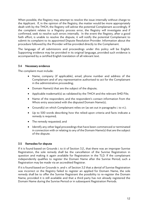When possible, the Registry may attempt to resolve the issue internally without charge to the Applicant. If, in the opinion of the Registry, the matter would be more appropriately dealt with by the TMCH, the Registry will advise the potential Complainant accordingly. If the complaint relates to a Registry process error, the Registry will investigate and if confirmed, seek to resolve such errors internally. In the event the Registry, after a good faith effort, is unable to resolve the dispute, it will notify the potential Complainant to submit its complaint to its appointed Dispute Resolution Provider. Information about the procedure followed by the Provider will be provided directly to the Complainant.

The language of all submissions and proceedings under this policy will be English. Supporting evidence may be provided in its original language, provided such evidence is accompanied by a certified English translation of all relevant text.

#### 3.4 Necessary evidence

The complaint must include:

- Name, company (if applicable), email, phone number and address of the Complainant and of any representative authorised to act for the Complainant in the administrative proceeding;
- Domain Name(s) that are the subject of the dispute;
- Applicable trademark(s) as validated by the TMCH and the relevant SMD File;
- Name of the respondent, and the respondent's contact information from the Whois entry associated with the disputed Domain Name(s);
- Ground(s) on which Complainant relies on (as set out in paragraphs i. to vi.);
- Up to 500 words describing how the relied-upon criteria and facts indicate a remedy is required;
- The remedy requested; and
- Identify any other legal proceedings that have been commenced or terminated in connection with or relating to any of the Domain Name(s) that are the subject of the dispute.

#### 3.5 Remedies for dispute

If it is found based on Grounds i. to iii of Section 3.2., that there was an improper Sunrise Registration, the sole remedy shall be the cancellation of the Sunrise Registration in question and making it again available for Registration in the TLD. If the complainant independently qualifies to register the Domain Name after the Sunrise Period, such a Registration may be made via an accredited Registrar.

If it is found based on Grounds iv. and v. of Section 3.2 that a denial of Sunrise Registration was incorrect or the Registry failed to register an applied for Domain Name, the sole remedy shall be to offer the Sunrise Registrant the possibility to re-register the Domain Name, provided it is still available and that a third party has not already registered the Domain Name during the Sunrise Period or in subsequent Registration Periods.